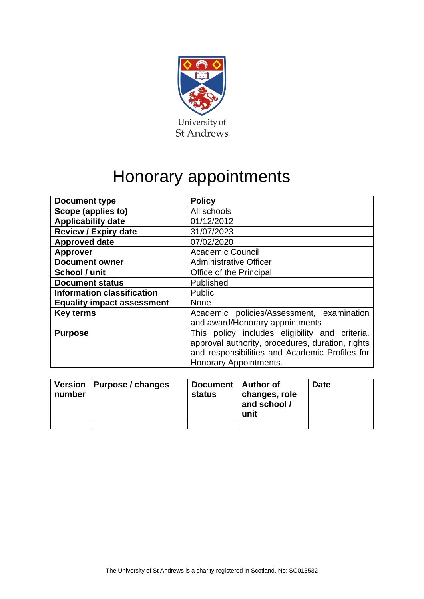

# Honorary appointments

| <b>Document type</b>              | <b>Policy</b>                                    |  |  |  |
|-----------------------------------|--------------------------------------------------|--|--|--|
| Scope (applies to)                | All schools                                      |  |  |  |
| <b>Applicability date</b>         | 01/12/2012                                       |  |  |  |
| <b>Review / Expiry date</b>       | 31/07/2023                                       |  |  |  |
| <b>Approved date</b>              | 07/02/2020                                       |  |  |  |
| <b>Approver</b>                   | <b>Academic Council</b>                          |  |  |  |
| <b>Document owner</b>             | <b>Administrative Officer</b>                    |  |  |  |
| School / unit                     | Office of the Principal                          |  |  |  |
| <b>Document status</b>            | Published                                        |  |  |  |
| <b>Information classification</b> | Public                                           |  |  |  |
| <b>Equality impact assessment</b> | <b>None</b>                                      |  |  |  |
| <b>Key terms</b>                  | Academic policies/Assessment, examination        |  |  |  |
|                                   | and award/Honorary appointments                  |  |  |  |
| <b>Purpose</b>                    | This policy includes eligibility and criteria.   |  |  |  |
|                                   | approval authority, procedures, duration, rights |  |  |  |
|                                   | and responsibilities and Academic Profiles for   |  |  |  |
|                                   | Honorary Appointments.                           |  |  |  |

| number | Version   Purpose / changes | Document   Author of<br>status | changes, role<br>and school /<br>unit | <b>Date</b> |
|--------|-----------------------------|--------------------------------|---------------------------------------|-------------|
|        |                             |                                |                                       |             |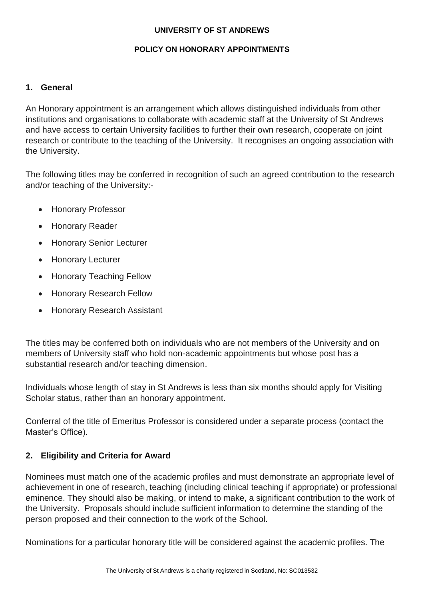#### **UNIVERSITY OF ST ANDREWS**

#### **POLICY ON HONORARY APPOINTMENTS**

#### **1. General**

An Honorary appointment is an arrangement which allows distinguished individuals from other institutions and organisations to collaborate with academic staff at the University of St Andrews and have access to certain University facilities to further their own research, cooperate on joint research or contribute to the teaching of the University. It recognises an ongoing association with the University.

The following titles may be conferred in recognition of such an agreed contribution to the research and/or teaching of the University:-

- Honorary Professor
- Honorary Reader
- Honorary Senior Lecturer
- Honorary Lecturer
- Honorary Teaching Fellow
- Honorary Research Fellow
- Honorary Research Assistant

The titles may be conferred both on individuals who are not members of the University and on members of University staff who hold non-academic appointments but whose post has a substantial research and/or teaching dimension.

Individuals whose length of stay in St Andrews is less than six months should apply for Visiting Scholar status, rather than an honorary appointment.

Conferral of the title of Emeritus Professor is considered under a separate process (contact the Master's Office).

#### **2. Eligibility and Criteria for Award**

Nominees must match one of the academic profiles and must demonstrate an appropriate level of achievement in one of research, teaching (including clinical teaching if appropriate) or professional eminence. They should also be making, or intend to make, a significant contribution to the work of the University. Proposals should include sufficient information to determine the standing of the person proposed and their connection to the work of the School.

Nominations for a particular honorary title will be considered against the academic profiles. The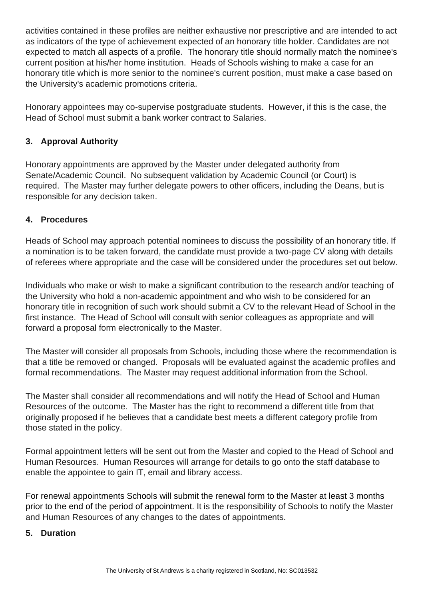activities contained in these profiles are neither exhaustive nor prescriptive and are intended to act as indicators of the type of achievement expected of an honorary title holder. Candidates are not expected to match all aspects of a profile. The honorary title should normally match the nominee's current position at his/her home institution. Heads of Schools wishing to make a case for an honorary title which is more senior to the nominee's current position, must make a case based on the University's academic promotions criteria.

Honorary appointees may co-supervise postgraduate students. However, if this is the case, the Head of School must submit a bank worker contract to Salaries.

# **3. Approval Authority**

Honorary appointments are approved by the Master under delegated authority from Senate/Academic Council. No subsequent validation by Academic Council (or Court) is required. The Master may further delegate powers to other officers, including the Deans, but is responsible for any decision taken.

## **4. Procedures**

Heads of School may approach potential nominees to discuss the possibility of an honorary title. If a nomination is to be taken forward, the candidate must provide a two-page CV along with details of referees where appropriate and the case will be considered under the procedures set out below.

Individuals who make or wish to make a significant contribution to the research and/or teaching of the University who hold a non-academic appointment and who wish to be considered for an honorary title in recognition of such work should submit a CV to the relevant Head of School in the first instance. The Head of School will consult with senior colleagues as appropriate and will forward a proposal form electronically to the Master.

The Master will consider all proposals from Schools, including those where the recommendation is that a title be removed or changed. Proposals will be evaluated against the academic profiles and formal recommendations. The Master may request additional information from the School.

The Master shall consider all recommendations and will notify the Head of School and Human Resources of the outcome. The Master has the right to recommend a different title from that originally proposed if he believes that a candidate best meets a different category profile from those stated in the policy.

Formal appointment letters will be sent out from the Master and copied to the Head of School and Human Resources. Human Resources will arrange for details to go onto the staff database to enable the appointee to gain IT, email and library access.

For renewal appointments Schools will submit the renewal form to the Master at least 3 months prior to the end of the period of appointment. It is the responsibility of Schools to notify the Master and Human Resources of any changes to the dates of appointments.

#### **5. Duration**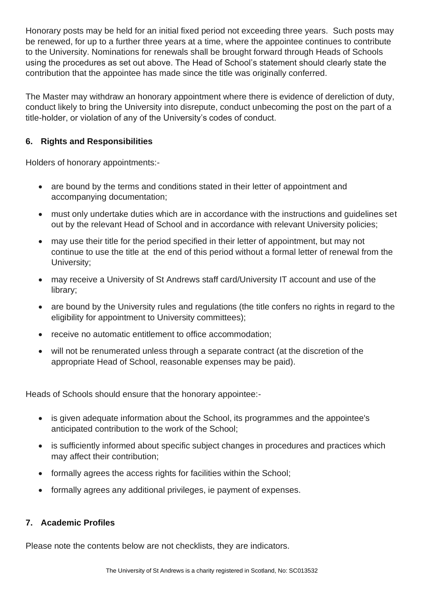Honorary posts may be held for an initial fixed period not exceeding three years. Such posts may be renewed, for up to a further three years at a time, where the appointee continues to contribute to the University. Nominations for renewals shall be brought forward through Heads of Schools using the procedures as set out above. The Head of School's statement should clearly state the contribution that the appointee has made since the title was originally conferred.

The Master may withdraw an honorary appointment where there is evidence of dereliction of duty, conduct likely to bring the University into disrepute, conduct unbecoming the post on the part of a title-holder, or violation of any of the University's codes of conduct.

# **6. Rights and Responsibilities**

Holders of honorary appointments:-

- are bound by the terms and conditions stated in their letter of appointment and accompanying documentation;
- must only undertake duties which are in accordance with the instructions and guidelines set out by the relevant Head of School and in accordance with relevant University policies;
- may use their title for the period specified in their letter of appointment, but may not continue to use the title at the end of this period without a formal letter of renewal from the University;
- may receive a University of St Andrews staff card/University IT account and use of the library;
- are bound by the University rules and regulations (the title confers no rights in regard to the eligibility for appointment to University committees);
- receive no automatic entitlement to office accommodation;
- will not be renumerated unless through a separate contract (at the discretion of the appropriate Head of School, reasonable expenses may be paid).

Heads of Schools should ensure that the honorary appointee:-

- is given adequate information about the School, its programmes and the appointee's anticipated contribution to the work of the School;
- is sufficiently informed about specific subject changes in procedures and practices which may affect their contribution;
- formally agrees the access rights for facilities within the School;
- formally agrees any additional privileges, ie payment of expenses.

## **7. Academic Profiles**

Please note the contents below are not checklists, they are indicators.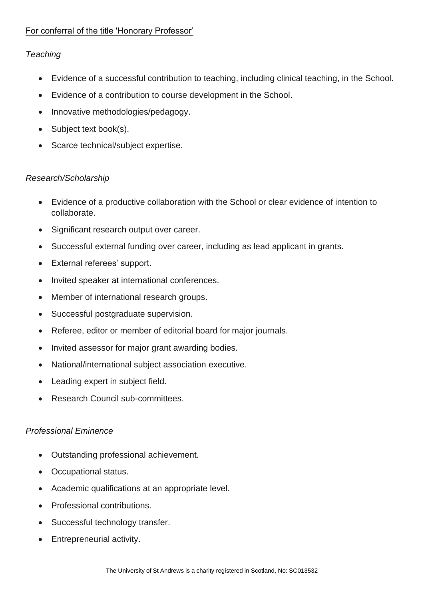# For conferral of the title 'Honorary Professor'

# *Teaching*

- Evidence of a successful contribution to teaching, including clinical teaching, in the School.
- Evidence of a contribution to course development in the School.
- Innovative methodologies/pedagogy.
- Subject text book(s).
- Scarce technical/subject expertise.

## *Research/Scholarship*

- Evidence of a productive collaboration with the School or clear evidence of intention to collaborate.
- Significant research output over career.
- Successful external funding over career, including as lead applicant in grants.
- External referees' support.
- Invited speaker at international conferences.
- Member of international research groups.
- Successful postgraduate supervision.
- Referee, editor or member of editorial board for major journals.
- Invited assessor for major grant awarding bodies.
- National/international subject association executive.
- Leading expert in subject field.
- Research Council sub-committees.

## *Professional Eminence*

- Outstanding professional achievement.
- Occupational status.
- Academic qualifications at an appropriate level.
- Professional contributions.
- Successful technology transfer.
- Entrepreneurial activity.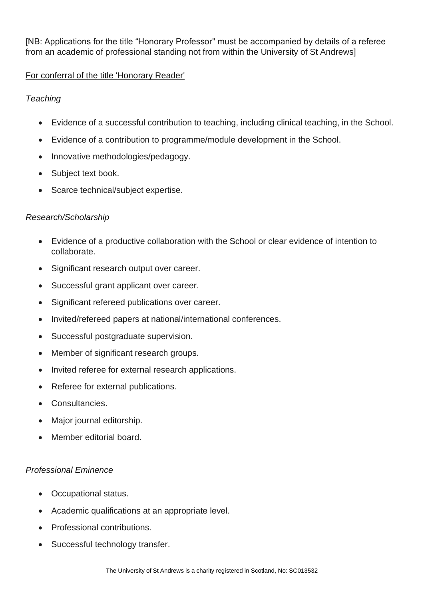[NB: Applications for the title "Honorary Professor" must be accompanied by details of a referee from an academic of professional standing not from within the University of St Andrews]

# For conferral of the title 'Honorary Reader'

# *Teaching*

- Evidence of a successful contribution to teaching, including clinical teaching, in the School.
- Evidence of a contribution to programme/module development in the School.
- Innovative methodologies/pedagogy.
- Subject text book.
- Scarce technical/subject expertise.

## *Research/Scholarship*

- Evidence of a productive collaboration with the School or clear evidence of intention to collaborate.
- Significant research output over career.
- Successful grant applicant over career.
- Significant refereed publications over career.
- Invited/refereed papers at national/international conferences.
- Successful postgraduate supervision.
- Member of significant research groups.
- Invited referee for external research applications.
- Referee for external publications.
- Consultancies.
- Major journal editorship.
- Member editorial board.

## *Professional Eminence*

- Occupational status.
- Academic qualifications at an appropriate level.
- Professional contributions.
- Successful technology transfer.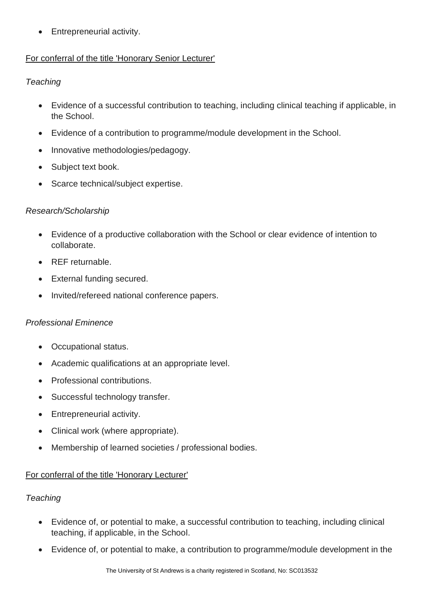• Entrepreneurial activity.

# For conferral of the title 'Honorary Senior Lecturer'

# *Teaching*

- Evidence of a successful contribution to teaching, including clinical teaching if applicable, in the School.
- Evidence of a contribution to programme/module development in the School.
- Innovative methodologies/pedagogy.
- Subject text book.
- Scarce technical/subject expertise.

## *Research/Scholarship*

- Evidence of a productive collaboration with the School or clear evidence of intention to collaborate.
- REF returnable.
- External funding secured.
- Invited/refereed national conference papers.

## *Professional Eminence*

- Occupational status.
- Academic qualifications at an appropriate level.
- Professional contributions.
- Successful technology transfer.
- Entrepreneurial activity.
- Clinical work (where appropriate).
- Membership of learned societies / professional bodies.

## For conferral of the title 'Honorary Lecturer'

## *Teaching*

- Evidence of, or potential to make, a successful contribution to teaching, including clinical teaching, if applicable, in the School.
- Evidence of, or potential to make, a contribution to programme/module development in the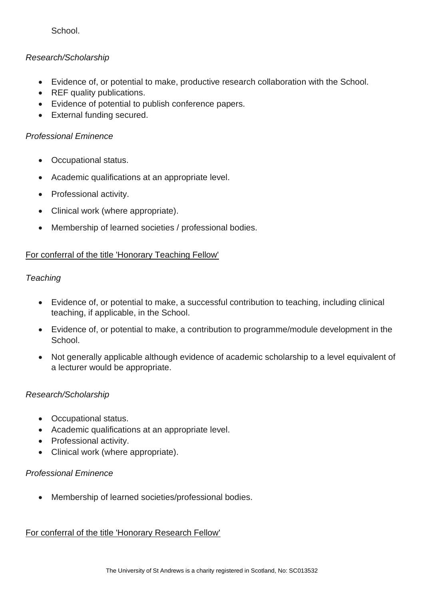**School**.

# *Research/Scholarship*

- Evidence of, or potential to make, productive research collaboration with the School.
- REF quality publications.
- Evidence of potential to publish conference papers.
- External funding secured.

## *Professional Eminence*

- Occupational status.
- Academic qualifications at an appropriate level.
- Professional activity.
- Clinical work (where appropriate).
- Membership of learned societies / professional bodies.

## For conferral of the title 'Honorary Teaching Fellow'

#### *Teaching*

- Evidence of, or potential to make, a successful contribution to teaching, including clinical teaching, if applicable, in the School.
- Evidence of, or potential to make, a contribution to programme/module development in the School.
- Not generally applicable although evidence of academic scholarship to a level equivalent of a lecturer would be appropriate.

## *Research/Scholarship*

- Occupational status.
- Academic qualifications at an appropriate level.
- Professional activity.
- Clinical work (where appropriate).

## *Professional Eminence*

• Membership of learned societies/professional bodies.

## For conferral of the title 'Honorary Research Fellow'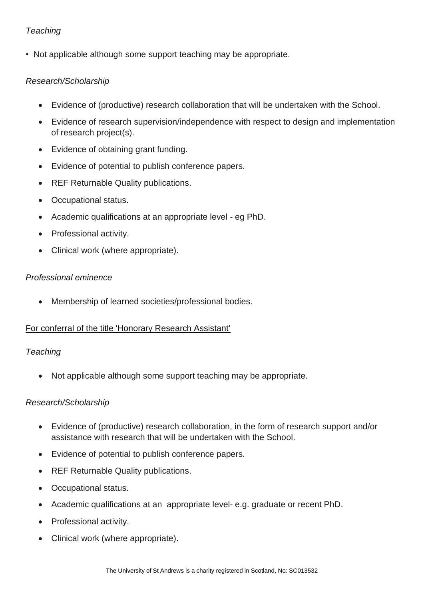# *Teaching*

• Not applicable although some support teaching may be appropriate.

## *Research/Scholarship*

- Evidence of (productive) research collaboration that will be undertaken with the School.
- Evidence of research supervision/independence with respect to design and implementation of research project(s).
- Evidence of obtaining grant funding.
- Evidence of potential to publish conference papers.
- REF Returnable Quality publications.
- Occupational status.
- Academic qualifications at an appropriate level eg PhD.
- Professional activity.
- Clinical work (where appropriate).

#### *Professional eminence*

• Membership of learned societies/professional bodies.

#### For conferral of the title 'Honorary Research Assistant'

#### *Teaching*

• Not applicable although some support teaching may be appropriate.

#### *Research/Scholarship*

- Evidence of (productive) research collaboration, in the form of research support and/or assistance with research that will be undertaken with the School.
- Evidence of potential to publish conference papers.
- REF Returnable Quality publications.
- Occupational status.
- Academic qualifications at an appropriate level- e.g. graduate or recent PhD.
- Professional activity.
- Clinical work (where appropriate).